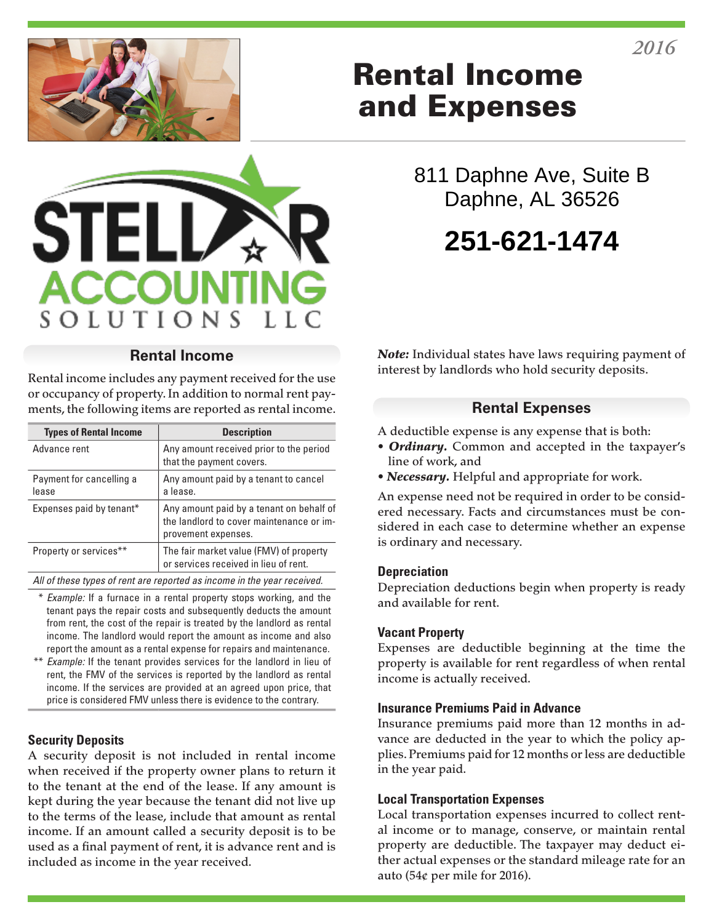



### **Rental Income**

Rental income includes any payment received for the use or occupancy of property. In addition to normal rent payments, the following items are reported as rental income.

| <b>Types of Rental Income</b>     | <b>Description</b>                                                                                          |
|-----------------------------------|-------------------------------------------------------------------------------------------------------------|
| Advance rent                      | Any amount received prior to the period<br>that the payment covers.                                         |
| Payment for cancelling a<br>lease | Any amount paid by a tenant to cancel<br>a lease.                                                           |
| Expenses paid by tenant*          | Any amount paid by a tenant on behalf of<br>the landlord to cover maintenance or im-<br>provement expenses. |
| Property or services**            | The fair market value (FMV) of property<br>or services received in lieu of rent.                            |

*All of these types of rent are reported as income in the year received.*

- \* *Example:* If a furnace in a rental property stops working, and the tenant pays the repair costs and subsequently deducts the amount from rent, the cost of the repair is treated by the landlord as rental income. The landlord would report the amount as income and also report the amount as a rental expense for repairs and maintenance.
- \*\* *Example:* If the tenant provides services for the landlord in lieu of rent, the FMV of the services is reported by the landlord as rental income. If the services are provided at an agreed upon price, that price is considered FMV unless there is evidence to the contrary.

#### **Security Deposits**

A security deposit is not included in rental income when received if the property owner plans to return it to the tenant at the end of the lease. If any amount is kept during the year because the tenant did not live up to the terms of the lease, include that amount as rental income. If an amount called a security deposit is to be used as a final payment of rent, it is advance rent and is included as income in the year received.

# Rental Income and Expenses

811 Daphne Ave, Suite B Daphne, AL 36526

# **251-621-1474**

*Note:* Individual states have laws requiring payment of interest by landlords who hold security deposits.

## **Rental Expenses**

A deductible expense is any expense that is both:

- *Ordinary.* Common and accepted in the taxpayer's line of work, and
- *Necessary.* Helpful and appropriate for work.

An expense need not be required in order to be considered necessary. Facts and circumstances must be considered in each case to determine whether an expense is ordinary and necessary.

#### **Depreciation**

Depreciation deductions begin when property is ready and available for rent.

#### **Vacant Property**

Expenses are deductible beginning at the time the property is available for rent regardless of when rental income is actually received.

#### **Insurance Premiums Paid in Advance**

Insurance premiums paid more than 12 months in advance are deducted in the year to which the policy applies. Premiums paid for 12 months or less are deductible in the year paid.

#### **Local Transportation Expenses**

Local transportation expenses incurred to collect rental income or to manage, conserve, or maintain rental property are deductible. The taxpayer may deduct either actual expenses or the standard mileage rate for an auto (54¢ per mile for 2016).